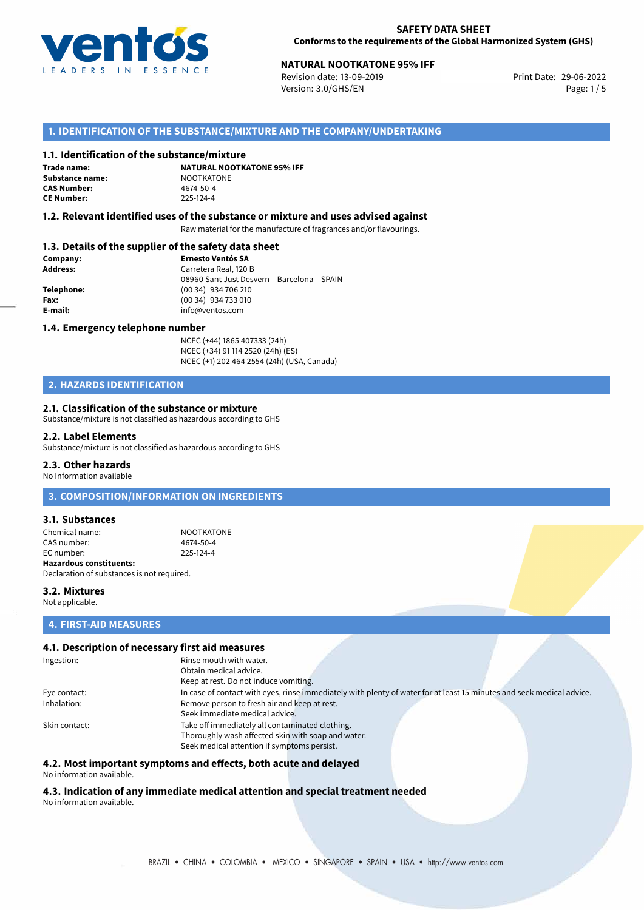

# **NATURAL NOOTKATONE 95% IFF**<br>
Revision date: 13-09-2019<br>
Print Date: 29-06-2022

Revision date: 13-09-2019 Version: 3.0/GHS/EN Page: 1/5

## **1. IDENTIFICATION OF THE SUBSTANCE/MIXTURE AND THE COMPANY/UNDERTAKING**

### **1.1. Identification of the substance/mixture**

**Trade name: Substance name:** NOOTKATONE<br> **CAS Number:** 4674-50-4 **CAS Number: CE Number:** 225-124-4

**NATURAL NOOTKATONE 95% IFF**

### **1.2. Relevant identified uses of the substance or mixture and uses advised against**

Raw material for the manufacture of fragrances and/or flavourings.

### **1.3. Details of the supplier of the safety data sheet**

| Company:   | <b>Ernesto Ventós SA</b>                    |
|------------|---------------------------------------------|
| Address:   | Carretera Real, 120 B                       |
|            | 08960 Sant Just Desvern - Barcelona - SPAIN |
| Telephone: | (00 34) 934 706 210                         |
| Fax:       | (00 34) 934 733 010                         |
| E-mail:    | info@ventos.com                             |
|            |                                             |

### **1.4. Emergency telephone number**

NCEC (+44) 1865 407333 (24h) NCEC (+34) 91 114 2520 (24h) (ES) NCEC (+1) 202 464 2554 (24h) (USA, Canada)

## **2. HAZARDS IDENTIFICATION**

### **2.1. Classification of the substance or mixture**

Substance/mixture is not classified as hazardous according to GHS

#### **2.2. Label Elements**

Substance/mixture is not classified as hazardous according to GHS

### **2.3. Other hazards**

No Information available

### **3. COMPOSITION/INFORMATION ON INGREDIENTS**

### **3.1. Substances**

Chemical name: NOOTKATONE CAS number: 4674-50-4<br>
FC number: 225-124-4  $FC number$ **Hazardous constituents:** Declaration of substances is not required.

**3.2. Mixtures** Not applicable.

### **4. FIRST-AID MEASURES**

### **4.1. Description of necessary first aid measures**

| Ingestion:    | Rinse mouth with water.                                                                                               |
|---------------|-----------------------------------------------------------------------------------------------------------------------|
|               | Obtain medical advice.                                                                                                |
|               | Keep at rest. Do not induce vomiting.                                                                                 |
| Eye contact:  | In case of contact with eyes, rinse immediately with plenty of water for at least 15 minutes and seek medical advice. |
| Inhalation:   | Remove person to fresh air and keep at rest.                                                                          |
|               | Seek immediate medical advice.                                                                                        |
| Skin contact: | Take off immediately all contaminated clothing.                                                                       |
|               | Thoroughly wash affected skin with soap and water.                                                                    |
|               | Seek medical attention if symptoms persist.                                                                           |

### **4.2. Most important symptoms and effects, both acute and delayed**

No information available.

#### **4.3. Indication of any immediate medical attention and special treatment needed** No information available.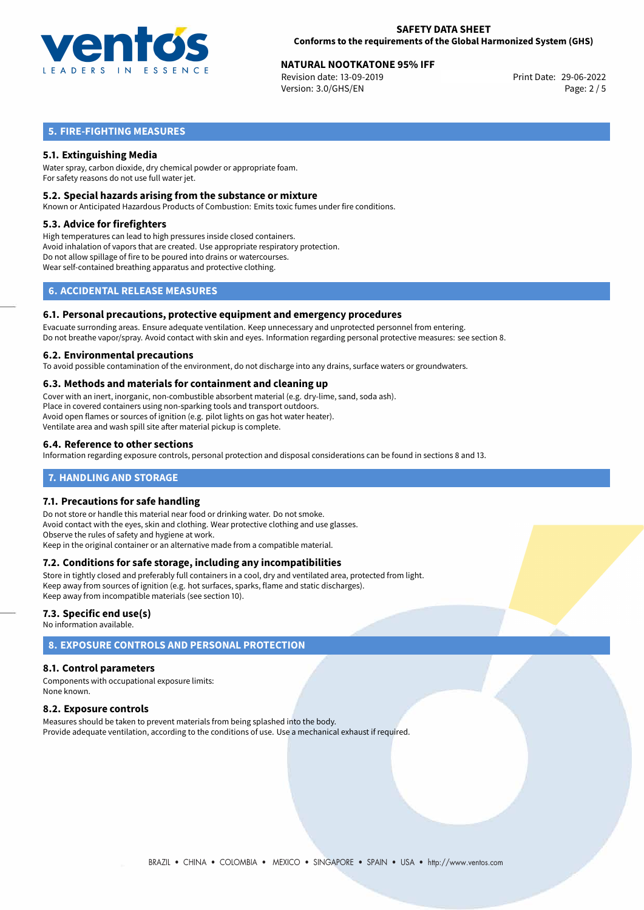

# **NATURAL NOOTKATONE 95% IFF**<br>
Revision date: 13-09-2019<br> **Print Date: 29-06-2022**

Revision date: 13-09-2019 Version: 3.0/GHS/EN Page: 2 / 5

## **5. FIRE-FIGHTING MEASURES**

## **5.1. Extinguishing Media**

Water spray, carbon dioxide, dry chemical powder or appropriate foam. For safety reasons do not use full water jet.

### **5.2. Special hazards arising from the substance or mixture**

Known or Anticipated Hazardous Products of Combustion: Emits toxic fumes under fire conditions.

### **5.3. Advice for firefighters**

High temperatures can lead to high pressures inside closed containers. Avoid inhalation of vapors that are created. Use appropriate respiratory protection. Do not allow spillage of fire to be poured into drains or watercourses. Wear self-contained breathing apparatus and protective clothing.

## **6. ACCIDENTAL RELEASE MEASURES**

### **6.1. Personal precautions, protective equipment and emergency procedures**

Evacuate surronding areas. Ensure adequate ventilation. Keep unnecessary and unprotected personnel from entering. Do not breathe vapor/spray. Avoid contact with skin and eyes. Information regarding personal protective measures: see section 8.

### **6.2. Environmental precautions**

To avoid possible contamination of the environment, do not discharge into any drains, surface waters or groundwaters.

### **6.3. Methods and materials for containment and cleaning up**

Cover with an inert, inorganic, non-combustible absorbent material (e.g. dry-lime, sand, soda ash). Place in covered containers using non-sparking tools and transport outdoors. Avoid open flames or sources of ignition (e.g. pilot lights on gas hot water heater). Ventilate area and wash spill site after material pickup is complete.

### **6.4. Reference to other sections**

Information regarding exposure controls, personal protection and disposal considerations can be found in sections 8 and 13.

### **7. HANDLING AND STORAGE**

### **7.1. Precautions for safe handling**

Do not store or handle this material near food or drinking water. Do not smoke. Avoid contact with the eyes, skin and clothing. Wear protective clothing and use glasses. Observe the rules of safety and hygiene at work. Keep in the original container or an alternative made from a compatible material.

### **7.2. Conditions for safe storage, including any incompatibilities**

Store in tightly closed and preferably full containers in a cool, dry and ventilated area, protected from light. Keep away from sources of ignition (e.g. hot surfaces, sparks, flame and static discharges). Keep away from incompatible materials (see section 10).

### **7.3. Specific end use(s)**

No information available.

# **8. EXPOSURE CONTROLS AND PERSONAL PROTECTION**

### **8.1. Control parameters**

Components with occupational exposure limits: None known.

### **8.2. Exposure controls**

Measures should be taken to prevent materials from being splashed into the body. Provide adequate ventilation, according to the conditions of use. Use a mechanical exhaust if required.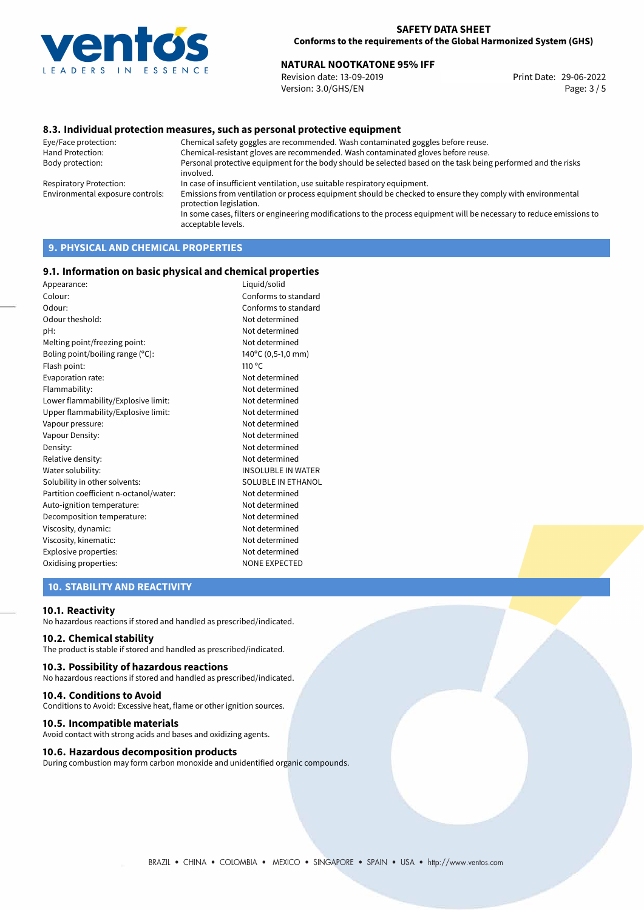

# 29-06-2022 **NATURAL NOOTKATONE 95% IFF**

Revision date: 13-09-2019 Version: 3.0/GHS/EN Page: 3 / 5

### **8.3. Individual protection measures, such as personal protective equipment**

Eye/Face protection: Chemical safety goggles are recommended. Wash contaminated goggles before reuse. Chemical-resistant gloves are recommended. Wash contaminated gloves before reuse. Body protection: Personal protective equipment for the body should be selected based on the task being performed and the risks involved. Respiratory Protection: In case of insufficient ventilation, use suitable respiratory equipment. Environmental exposure controls: Emissions from ventilation or process equipment should be checked to ensure they comply with environmental protection legislation. In some cases, filters or engineering modifications to the process equipment will be necessary to reduce emissions to acceptable levels.

# **9. PHYSICAL AND CHEMICAL PROPERTIES**

### **9.1. Information on basic physical and chemical properties**

| Appearance:                            | Liquid/solid              |
|----------------------------------------|---------------------------|
| Colour:                                | Conforms to standard      |
| Odour:                                 | Conforms to standard      |
| Odour theshold:                        | Not determined            |
| pH:                                    | Not determined            |
| Melting point/freezing point:          | Not determined            |
| Boling point/boiling range (°C):       | 140°C (0,5-1,0 mm)        |
| Flash point:                           | 110 <sup>o</sup> C        |
| Evaporation rate:                      | Not determined            |
| Flammability:                          | Not determined            |
| Lower flammability/Explosive limit:    | Not determined            |
| Upper flammability/Explosive limit:    | Not determined            |
| Vapour pressure:                       | Not determined            |
| Vapour Density:                        | Not determined            |
| Density:                               | Not determined            |
| Relative density:                      | Not determined            |
| Water solubility:                      | INSOLUBLE IN WATER        |
| Solubility in other solvents:          | <b>SOLUBLE IN ETHANOL</b> |
| Partition coefficient n-octanol/water: | Not determined            |
| Auto-ignition temperature:             | Not determined            |
| Decomposition temperature:             | Not determined            |
| Viscosity, dynamic:                    | Not determined            |
| Viscosity, kinematic:                  | Not determined            |
| Explosive properties:                  | Not determined            |
| Oxidising properties:                  | <b>NONE EXPECTED</b>      |
|                                        |                           |

## **10. STABILITY AND REACTIVITY**

### **10.1. Reactivity**

No hazardous reactions if stored and handled as prescribed/indicated.

### **10.2. Chemical stability**

The product is stable if stored and handled as prescribed/indicated.

### **10.3. Possibility of hazardous reactions**

No hazardous reactions if stored and handled as prescribed/indicated.

### **10.4. Conditions to Avoid**

Conditions to Avoid: Excessive heat, flame or other ignition sources.

### **10.5. Incompatible materials**

Avoid contact with strong acids and bases and oxidizing agents.

### **10.6. Hazardous decomposition products**

During combustion may form carbon monoxide and unidentified organic compounds.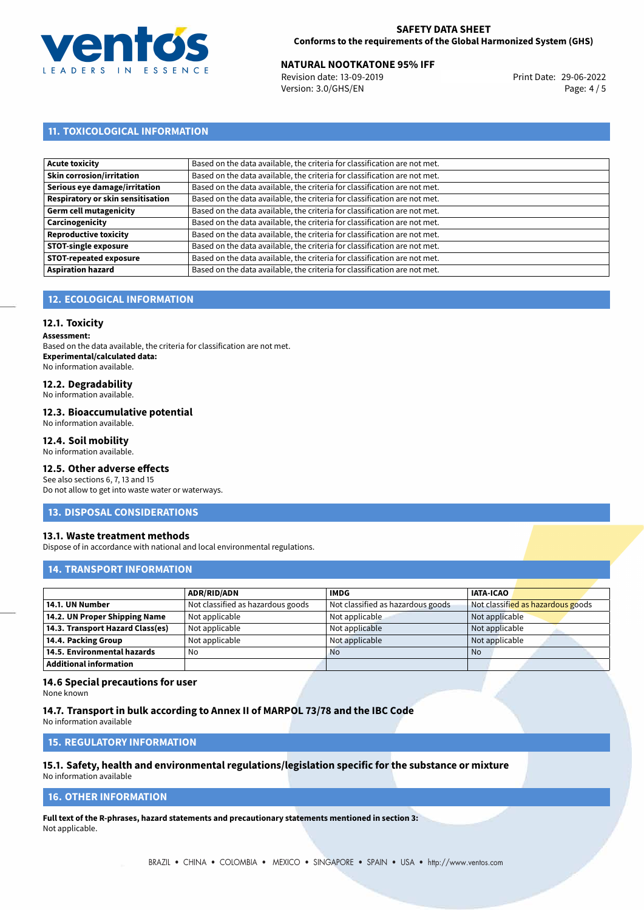

# 29-06-2022 **NATURAL NOOTKATONE 95% IFF**

Revision date: 13-09-2019 Version: 3.0/GHS/EN Page: 4 / 5

## **11. TOXICOLOGICAL INFORMATION**

| Based on the data available, the criteria for classification are not met. |
|---------------------------------------------------------------------------|
| Based on the data available, the criteria for classification are not met. |
| Based on the data available, the criteria for classification are not met. |
| Based on the data available, the criteria for classification are not met. |
| Based on the data available, the criteria for classification are not met. |
| Based on the data available, the criteria for classification are not met. |
| Based on the data available, the criteria for classification are not met. |
| Based on the data available, the criteria for classification are not met. |
| Based on the data available, the criteria for classification are not met. |
| Based on the data available, the criteria for classification are not met. |
|                                                                           |

## **12. ECOLOGICAL INFORMATION**

### **12.1. Toxicity**

**Assessment:**

Based on the data available, the criteria for classification are not met. **Experimental/calculated data:** No information available.

## **12.2. Degradability**

No information available.

### **12.3. Bioaccumulative potential**

No information available.

### **12.4. Soil mobility**

No information available.

## **12.5. Other adverse effects**

See also sections 6, 7, 13 and 15 Do not allow to get into waste water or waterways.

### **13. DISPOSAL CONSIDERATIONS**

### **13.1. Waste treatment methods**

Dispose of in accordance with national and local environmental regulations.

### **14. TRANSPORT INFORMATION**

|                                  | <b>ADR/RID/ADN</b>                | <b>IMDG</b>                       | <b>IATA-ICAO</b>                  |
|----------------------------------|-----------------------------------|-----------------------------------|-----------------------------------|
| 14.1. UN Number                  | Not classified as hazardous goods | Not classified as hazardous goods | Not classified as hazardous goods |
| 14.2. UN Proper Shipping Name    | Not applicable                    | Not applicable                    | Not applicable                    |
| 14.3. Transport Hazard Class(es) | Not applicable                    | Not applicable                    | Not applicable                    |
| 14.4. Packing Group              | Not applicable                    | Not applicable                    | Not applicable                    |
| 14.5. Environmental hazards      | No                                | <b>No</b>                         | No                                |
| <b>Additional information</b>    |                                   |                                   |                                   |

### **14.6 Special precautions for user**

None known

### **14.7. Transport in bulk according to Annex II of MARPOL 73/78 and the IBC Code**

No information available

## **15. REGULATORY INFORMATION**

# **15.1. Safety, health and environmental regulations/legislation specific for the substance or mixture**

No information available

## **16. OTHER INFORMATION**

**Full text of the R-phrases, hazard statements and precautionary statements mentioned in section 3:** Not applicable.